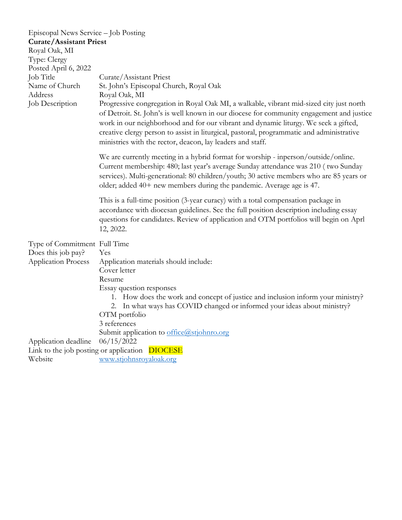| Episcopal News Service - Job Posting |                                                                                                                                                                                                                                                                                                                                                                                                                                       |
|--------------------------------------|---------------------------------------------------------------------------------------------------------------------------------------------------------------------------------------------------------------------------------------------------------------------------------------------------------------------------------------------------------------------------------------------------------------------------------------|
| <b>Curate/Assistant Priest</b>       |                                                                                                                                                                                                                                                                                                                                                                                                                                       |
| Royal Oak, MI                        |                                                                                                                                                                                                                                                                                                                                                                                                                                       |
| Type: Clergy                         |                                                                                                                                                                                                                                                                                                                                                                                                                                       |
| Posted April 6, 2022                 |                                                                                                                                                                                                                                                                                                                                                                                                                                       |
| Job Title                            | Curate/Assistant Priest                                                                                                                                                                                                                                                                                                                                                                                                               |
| Name of Church                       | St. John's Episcopal Church, Royal Oak                                                                                                                                                                                                                                                                                                                                                                                                |
| Address                              | Royal Oak, MI                                                                                                                                                                                                                                                                                                                                                                                                                         |
| Job Description                      | Progressive congregation in Royal Oak MI, a walkable, vibrant mid-sized city just north<br>of Detroit. St. John's is well known in our diocese for community engagement and justice<br>work in our neighborhood and for our vibrant and dynamic liturgy. We seek a gifted,<br>creative clergy person to assist in liturgical, pastoral, programmatic and administrative<br>ministries with the rector, deacon, lay leaders and staff. |
|                                      | We are currently meeting in a hybrid format for worship - inperson/outside/online.<br>Current membership: 480; last year's average Sunday attendance was 210 (two Sunday<br>services). Multi-generational: 80 children/youth; 30 active members who are 85 years or<br>older; added 40+ new members during the pandemic. Average age is 47.                                                                                           |
|                                      | This is a full-time position (3-year curacy) with a total compensation package in<br>accordance with diocesan guidelines. See the full position description including essay<br>questions for candidates. Review of application and OTM portfolios will begin on Aprl<br>12, 2022.                                                                                                                                                     |
| Type of Commitment Full Time         |                                                                                                                                                                                                                                                                                                                                                                                                                                       |
| Does this job pay?                   | Yes                                                                                                                                                                                                                                                                                                                                                                                                                                   |
| <b>Application Process</b>           | Application materials should include:                                                                                                                                                                                                                                                                                                                                                                                                 |
|                                      | Cover letter                                                                                                                                                                                                                                                                                                                                                                                                                          |
|                                      | Resume                                                                                                                                                                                                                                                                                                                                                                                                                                |
|                                      | Essay question responses<br>1. How does the work and concept of justice and inclusion inform your ministry?<br>2. In what ways has COVID changed or informed your ideas about ministry?<br>OTM portfolio<br>3 references<br>Submit application to office@stjohnro.org                                                                                                                                                                 |
| Application deadline                 | 06/15/2022                                                                                                                                                                                                                                                                                                                                                                                                                            |
|                                      | Link to the job posting or application DIOCESE                                                                                                                                                                                                                                                                                                                                                                                        |
| Website                              | www.stjohnsroyaloak.org                                                                                                                                                                                                                                                                                                                                                                                                               |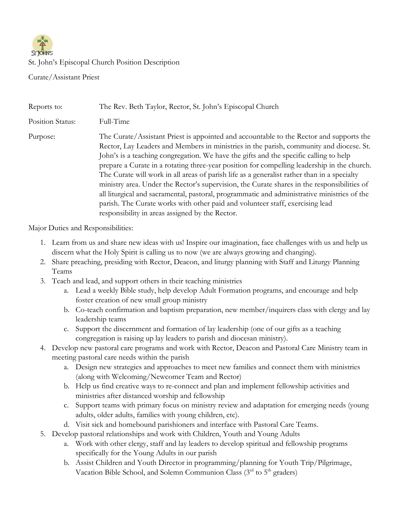

## St. John's Episcopal Church Position Description

Curate/Assistant Priest

| Reports to:      | The Rev. Beth Taylor, Rector, St. John's Episcopal Church                                                                                                                                                                                                                                                                                                                                                                                                                                                                                                                                                                                                                                                                                                                                                   |
|------------------|-------------------------------------------------------------------------------------------------------------------------------------------------------------------------------------------------------------------------------------------------------------------------------------------------------------------------------------------------------------------------------------------------------------------------------------------------------------------------------------------------------------------------------------------------------------------------------------------------------------------------------------------------------------------------------------------------------------------------------------------------------------------------------------------------------------|
| Position Status: | Full-Time                                                                                                                                                                                                                                                                                                                                                                                                                                                                                                                                                                                                                                                                                                                                                                                                   |
| Purpose:         | The Curate/Assistant Priest is appointed and accountable to the Rector and supports the<br>Rector, Lay Leaders and Members in ministries in the parish, community and diocese. St.<br>John's is a teaching congregation. We have the gifts and the specific calling to help<br>prepare a Curate in a rotating three-year position for compelling leadership in the church.<br>The Curate will work in all areas of parish life as a generalist rather than in a specialty<br>ministry area. Under the Rector's supervision, the Curate shares in the responsibilities of<br>all liturgical and sacramental, pastoral, programmatic and administrative ministries of the<br>parish. The Curate works with other paid and volunteer staff, exercising lead<br>responsibility in areas assigned by the Rector. |

Major Duties and Responsibilities:

- 1. Learn from us and share new ideas with us! Inspire our imagination, face challenges with us and help us discern what the Holy Spirit is calling us to now (we are always growing and changing).
- 2. Share preaching, presiding with Rector, Deacon, and liturgy planning with Staff and Liturgy Planning Teams
- 3. Teach and lead, and support others in their teaching ministries
	- a. Lead a weekly Bible study, help develop Adult Formation programs, and encourage and help foster creation of new small group ministry
	- b. Co-teach confirmation and baptism preparation, new member/inquirers class with clergy and lay leadership teams
	- c. Support the discernment and formation of lay leadership (one of our gifts as a teaching congregation is raising up lay leaders to parish and diocesan ministry).
- 4. Develop new pastoral care programs and work with Rector, Deacon and Pastoral Care Ministry team in meeting pastoral care needs within the parish
	- a. Design new strategies and approaches to meet new families and connect them with ministries (along with Welcoming/Newcomer Team and Rector)
	- b. Help us find creative ways to re-connect and plan and implement fellowship activities and ministries after distanced worship and fellowship
	- c. Support teams with primary focus on ministry review and adaptation for emerging needs (young adults, older adults, families with young children, etc).
	- d. Visit sick and homebound parishioners and interface with Pastoral Care Teams.
- 5. Develop pastoral relationships and work with Children, Youth and Young Adults
	- a. Work with other clergy, staff and lay leaders to develop spiritual and fellowship programs specifically for the Young Adults in our parish
	- b. Assist Children and Youth Director in programming/planning for Youth Trip/Pilgrimage, Vacation Bible School, and Solemn Communion Class  $(3<sup>rd</sup>$  to  $5<sup>th</sup>$  graders)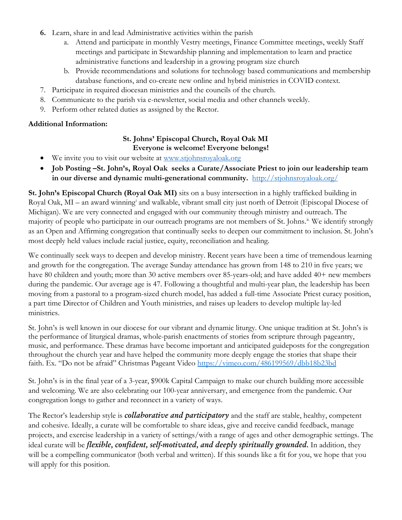- **6.** Learn, share in and lead Administrative activities within the parish
	- a. Attend and participate in monthly Vestry meetings, Finance Committee meetings, weekly Staff meetings and participate in Stewardship planning and implementation to learn and practice administrative functions and leadership in a growing program size church
	- b. Provide recommendations and solutions for technology based communications and membership database functions, and co-create new online and hybrid ministries in COVID context.
- 7. Participate in required diocesan ministries and the councils of the church.
- 8. Communicate to the parish via e-newsletter, social media and other channels weekly.
- 9. Perform other related duties as assigned by the Rector.

# **Additional Information:**

# **St. Johns' Episcopal Church, Royal Oak MI Everyone is welcome! Everyone belongs!**

- We invite you to visit our website at www.stjohnsroyaloak.org
- **Job Posting –St. John's, Royal Oak seeks a Curate/Associate Priest to join our leadership team in our diverse and dynamic multi-generational community.** <http://stjohnsroyaloak.org/>

**St. John's Episcopal Church (Royal Oak MI)** sits on a busy intersection in a highly trafficked building in Royal Oak, MI – an award winning[i](#page-3-0) and walkable, vibrant small city just north of Detroit (Episcopal Diocese of Michigan). We are very connected and engaged with our community through ministry and outreach. The majority of people who participate in our outreach programs are not members of St. Johns.<sup>[ii](#page-3-1).</sup> We identify strongly as an Open and Affirming congregation that continually seeks to deepen our commitment to inclusion. St. John's most deeply held values include racial justice, equity, reconciliation and healing.

We continually seek ways to deepen and develop ministry. Recent years have been a time of tremendous learning and growth for the congregation. The average Sunday attendance has grown from 148 to 210 in five years; we have 80 children and youth; more than 30 active members over 85-years-old; and have added 40+ new members during the pandemic. Our average age is 47. Following a thoughtful and multi-year plan, the leadership has been moving from a pastoral to a program-sized church model, has added a full-time Associate Priest curacy position, a part time Director of Children and Youth ministries, and raises up leaders to develop multiple lay-led ministries.

St. John's is well known in our diocese for our vibrant and dynamic liturgy. One unique tradition at St. John's is the performance of liturgical dramas, whole-parish enactments of stories from scripture through pageantry, music, and performance. These dramas have become important and anticipated guideposts for the congregation throughout the church year and have helped the community more deeply engage the stories that shape their faith. Ex. "Do not be afraid" Christmas Pageant Video [https://vimeo.com/486199569/dbb18b23bd](https://vimeo.com/486199569/dbb18b23bd?fbclid=IwAR1iNisy3yTXP8Evb_A2p2oOJTywP6725MC29PY-w0DvynV66IKZvVHlEIw)

St. John's is in the final year of a 3-year, \$900k Capital Campaign to make our church building more accessible and welcoming. We are also celebrating our 100-year anniversary, and emergence from the pandemic. Our congregation longs to gather and reconnect in a variety of ways.

The Rector's leadership style is *collaborative and participatory* and the staff are stable, healthy, competent and cohesive. Ideally, a curate will be comfortable to share ideas, give and receive candid feedback, manage projects, and exercise leadership in a variety of settings/with a range of ages and other demographic settings. The ideal curate will be *flexible, confident, self-motivated, and deeply spiritually grounded.* In addition, they will be a compelling communicator (both verbal and written). If this sounds like a fit for you, we hope that you will apply for this position.